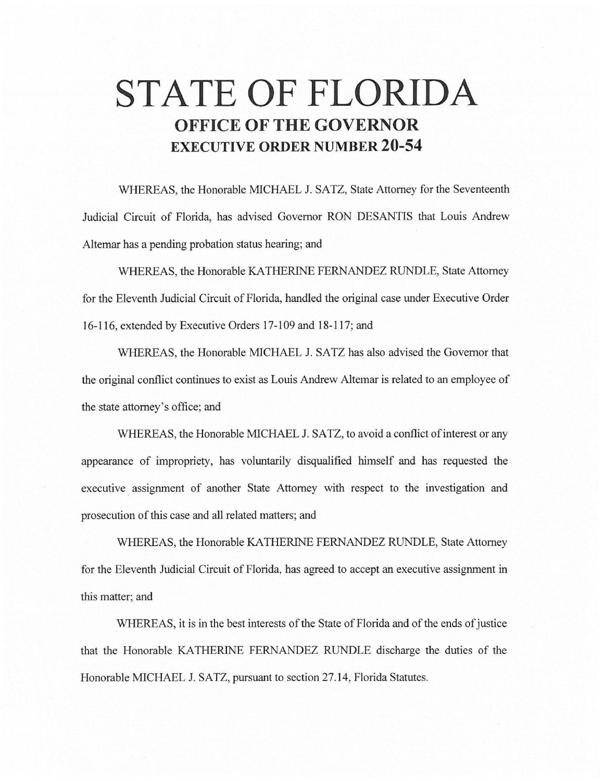# **STATE OF FLORIDA OFFICE OF THE GOVERNOR EXECUTIVE ORDER NUMBER 20-54**

WHEREAS, the Honorable MICHAEL J. SATZ, State Attorney for the Seventeenth Judicial Circuit of Florida, has advised Governor RON DESANTIS that Louis Andrew Altemar has a pending probation status hearing; and

WHEREAS, the Honorable KA THERINE FERNANDEZ RUNDLE, State Attorney for the Eleventh Judicial Circuit of Florida, handled the original case under Executive Order 16-116, extended by Executive Orders 17-109 and 18-117; and

WHEREAS, the Honorable MICHAEL J. SATZ has also advised the Governor that the original conflict continues to exist as Louis Andrew Altemar is related to an employee of the state attorney's office; and

WHEREAS, the Honorable MICHAEL J. SATZ, to avoid a conflict of interest or any appearance of impropriety, has voluntarily disqualified himself and has requested the executive assignment of another State Attorney with respect to the investigation and prosecution of this case and all related matters; and

WHEREAS, the Honorable KA THERINE FERNANDEZ RUNDLE, State Attorney for the Eleventh Judicial Circuit of Florida, has agreed to accept an executive assignment in this matter; and

WHEREAS, it is in the best interests of the State of Florida and of the ends of justice that the Honorable KA THERINE FERNANDEZ RUNDLE discharge the duties of the Honorable MICHAEL J. SATZ, pursuant to section 27 .14, Florida Statutes.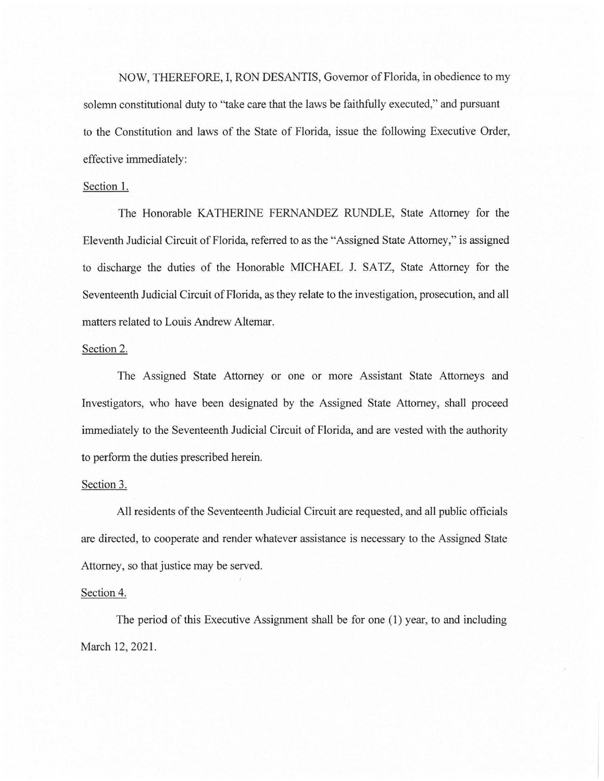NOW, THEREFORE, I, RON DESANTIS, Governor of Florida, in obedience to my solemn constitutional duty to "take care that the laws be faithfully executed," and pursuant to the Constitution and laws of the State of Florida, issue the following Executive Order, effective immediately:

## Section 1.

The Honorable KATHERINE FERNANDEZ RUNDLE, State Attorney for the Eleventh Judicial Circuit of Florida, referred to as the "Assigned State Attorney," is assigned to discharge the duties of the Honorable MICHAEL J. SATZ, State Attorney for the Seventeenth Judicial Circuit of Florida, as they relate to the investigation, prosecution, and all matters related to Louis Andrew Altemar.

### Section 2.

The Assigned State Attorney or one or more Assistant State Attorneys and Investigators, who have been designated by the Assigned State Attorney, shall proceed immediately to the Seventeenth Judicial Circuit of Florida, and are vested with the authority to perform the duties prescribed herein.

### Section 3.

All residents of the Seventeenth Judicial Circuit are requested, and all public officials are directed, to cooperate and render whatever assistance is necessary to the Assigned State Attorney, so that justice may be served.

### Section 4.

The period of this Executive Assignment shall be for one (1) year, to and including March 12, 2021.